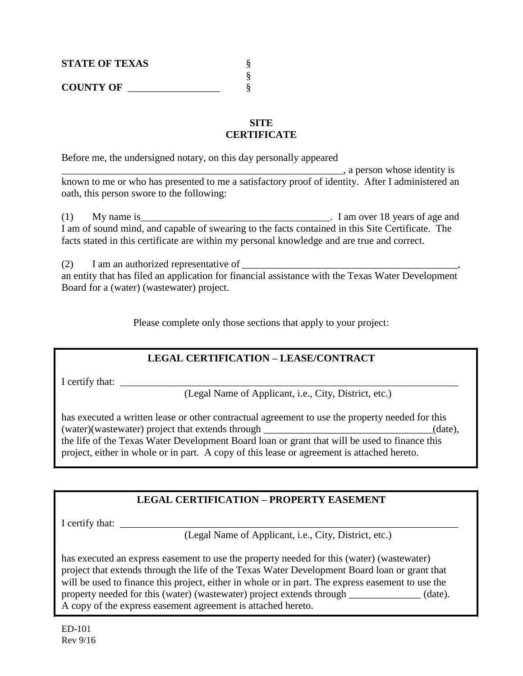| <b>STATE OF TEXAS</b> |  |
|-----------------------|--|
|                       |  |
| <b>COUNTY OF</b>      |  |

## **SITE CERTIFICATE**

Before me, the undersigned notary, on this day personally appeared

\_\_\_\_\_\_\_\_\_\_\_\_\_\_\_\_\_\_\_\_\_\_\_\_\_\_\_\_\_\_\_\_\_\_\_\_\_\_\_\_\_\_\_\_\_\_\_\_\_\_\_\_\_\_\_, a person whose identity is known to me or who has presented to me a satisfactory proof of identity. After I administered an oath, this person swore to the following:

(1) My name is\_\_\_\_\_\_\_\_\_\_\_\_\_\_\_\_\_\_\_\_\_\_\_\_\_\_\_\_\_\_\_\_\_\_\_\_\_. I am over 18 years of age and I am of sound mind, and capable of swearing to the facts contained in this Site Certificate. The facts stated in this certificate are within my personal knowledge and are true and correct.

 $(2)$  I am an authorized representative of  $\Box$ an entity that has filed an application for financial assistance with the Texas Water Development Board for a (water) (wastewater) project.

Please complete only those sections that apply to your project:

## **LEGAL CERTIFICATION – LEASE/CONTRACT**

I certify that: \_\_\_\_\_\_\_\_\_\_\_\_\_\_\_\_\_\_\_\_\_\_\_\_\_\_\_\_\_\_\_\_\_\_\_\_\_\_\_\_\_\_\_\_\_\_\_\_\_\_\_\_\_\_\_\_\_\_\_\_\_\_\_\_\_\_

(Legal Name of Applicant, i.e., City, District, etc.)

has executed a written lease or other contractual agreement to use the property needed for this (water)(wastewater) project that extends through  $(date)$ ,  $(date)$ , the life of the Texas Water Development Board loan or grant that will be used to finance this project, either in whole or in part. A copy of this lease or agreement is attached hereto.

## **LEGAL CERTIFICATION – PROPERTY EASEMENT**

I certify that: \_\_\_\_\_\_\_\_\_\_\_\_\_\_\_\_\_\_\_\_\_\_\_\_\_\_\_\_\_\_\_\_\_\_\_\_\_\_\_\_\_\_\_\_\_\_\_\_\_\_\_\_\_\_\_\_\_\_\_\_\_\_\_\_\_\_

(Legal Name of Applicant, i.e., City, District, etc.)

has executed an express easement to use the property needed for this (water) (wastewater) project that extends through the life of the Texas Water Development Board loan or grant that will be used to finance this project, either in whole or in part. The express easement to use the property needed for this (water) (wastewater) project extends through  $\alpha$  (date). A copy of the express easement agreement is attached hereto.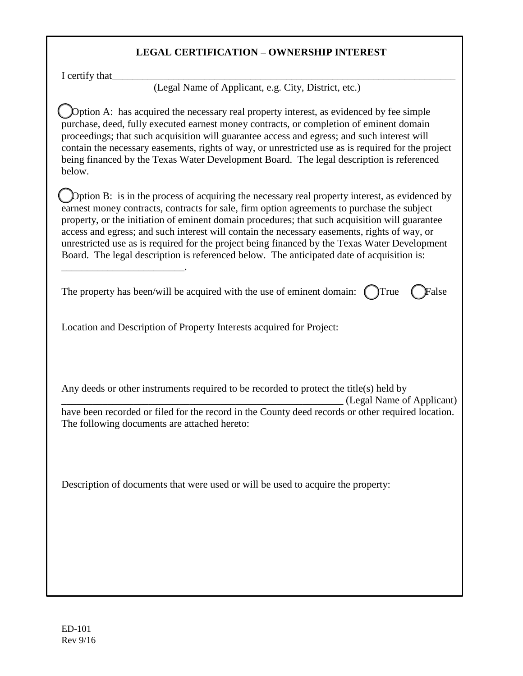## **LEGAL CERTIFICATION – OWNERSHIP INTEREST**

I certify that

\_\_\_\_\_\_\_\_\_\_\_\_\_\_\_\_\_\_\_\_\_\_\_\_.

(Legal Name of Applicant, e.g. City, District, etc.)

Option A: has acquired the necessary real property interest, as evidenced by fee simple purchase, deed, fully executed earnest money contracts, or completion of eminent domain proceedings; that such acquisition will guarantee access and egress; and such interest will contain the necessary easements, rights of way, or unrestricted use as is required for the project being financed by the Texas Water Development Board. The legal description is referenced below.

☐Option B: is in the process of acquiring the necessary real property interest, as evidenced by earnest money contracts, contracts for sale, firm option agreements to purchase the subject property, or the initiation of eminent domain procedures; that such acquisition will guarantee access and egress; and such interest will contain the necessary easements, rights of way, or unrestricted use as is required for the project being financed by the Texas Water Development Board. The legal description is referenced below. The anticipated date of acquisition is:

| The property has been/will be acquired with the use of eminent domain: $\bigcirc$ True $\bigcirc$ False |  |  |
|---------------------------------------------------------------------------------------------------------|--|--|
|---------------------------------------------------------------------------------------------------------|--|--|

Location and Description of Property Interests acquired for Project:

Any deeds or other instruments required to be recorded to protect the title(s) held by

\_\_\_\_\_\_\_\_\_\_\_\_\_\_\_\_\_\_\_\_\_\_\_\_\_\_\_\_\_\_\_\_\_\_\_\_\_\_\_\_\_\_\_\_\_\_\_\_\_\_\_\_\_\_\_ (Legal Name of Applicant)

have been recorded or filed for the record in the County deed records or other required location. The following documents are attached hereto:

Description of documents that were used or will be used to acquire the property: